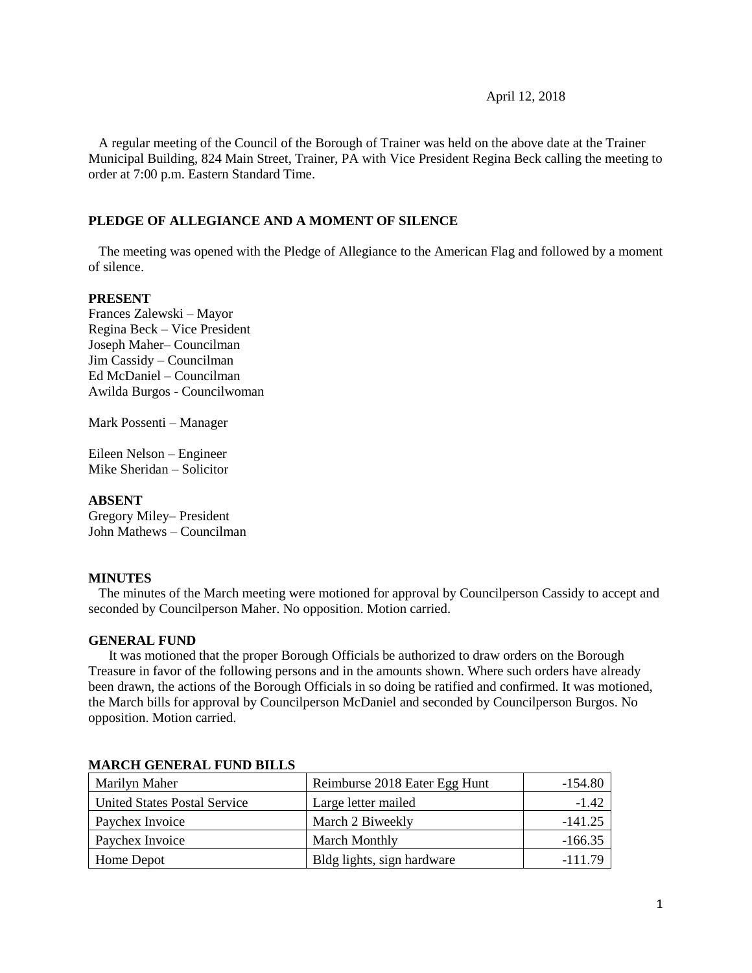#### April 12, 2018

 A regular meeting of the Council of the Borough of Trainer was held on the above date at the Trainer Municipal Building, 824 Main Street, Trainer, PA with Vice President Regina Beck calling the meeting to order at 7:00 p.m. Eastern Standard Time.

### **PLEDGE OF ALLEGIANCE AND A MOMENT OF SILENCE**

 The meeting was opened with the Pledge of Allegiance to the American Flag and followed by a moment of silence.

### **PRESENT**

Frances Zalewski – Mayor Regina Beck – Vice President Joseph Maher– Councilman Jim Cassidy – Councilman Ed McDaniel – Councilman Awilda Burgos - Councilwoman

Mark Possenti – Manager

Eileen Nelson – Engineer Mike Sheridan – Solicitor

### **ABSENT**

Gregory Miley– President John Mathews – Councilman

#### **MINUTES**

The minutes of the March meeting were motioned for approval by Councilperson Cassidy to accept and seconded by Councilperson Maher. No opposition. Motion carried.

#### **GENERAL FUND**

 It was motioned that the proper Borough Officials be authorized to draw orders on the Borough Treasure in favor of the following persons and in the amounts shown. Where such orders have already been drawn, the actions of the Borough Officials in so doing be ratified and confirmed. It was motioned, the March bills for approval by Councilperson McDaniel and seconded by Councilperson Burgos. No opposition. Motion carried.

| Marilyn Maher                       | Reimburse 2018 Eater Egg Hunt | $-154.80$ |
|-------------------------------------|-------------------------------|-----------|
| <b>United States Postal Service</b> | Large letter mailed           | $-1.42$   |
| Paychex Invoice                     | March 2 Biweekly              | $-141.25$ |
| Paychex Invoice                     | <b>March Monthly</b>          | $-166.35$ |
| Home Depot                          | Bldg lights, sign hardware    | $-111.79$ |

#### **MARCH GENERAL FUND BILLS**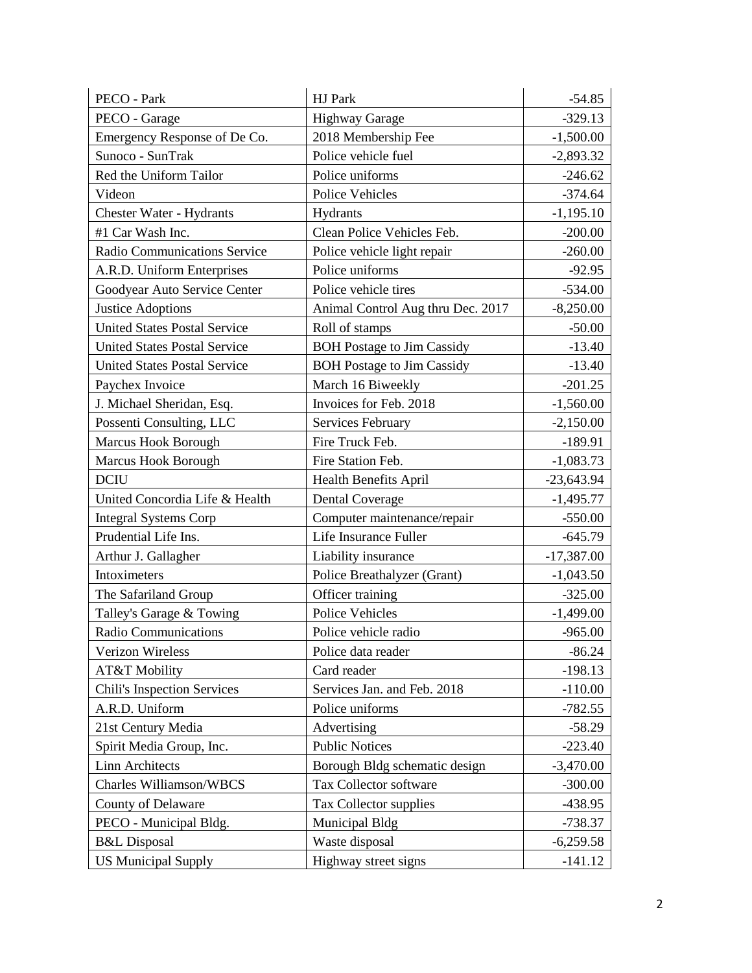| PECO - Park                         | HJ Park                           | $-54.85$     |
|-------------------------------------|-----------------------------------|--------------|
| PECO - Garage                       | <b>Highway Garage</b>             | $-329.13$    |
| Emergency Response of De Co.        | 2018 Membership Fee               | $-1,500.00$  |
| Sunoco - SunTrak                    | Police vehicle fuel               | $-2,893.32$  |
| Red the Uniform Tailor              | Police uniforms                   | $-246.62$    |
| Videon                              | <b>Police Vehicles</b>            | $-374.64$    |
| <b>Chester Water - Hydrants</b>     | Hydrants                          | $-1,195.10$  |
| #1 Car Wash Inc.                    | Clean Police Vehicles Feb.        | $-200.00$    |
| Radio Communications Service        | Police vehicle light repair       | $-260.00$    |
| A.R.D. Uniform Enterprises          | Police uniforms                   | $-92.95$     |
| Goodyear Auto Service Center        | Police vehicle tires              | $-534.00$    |
| <b>Justice Adoptions</b>            | Animal Control Aug thru Dec. 2017 | $-8,250.00$  |
| <b>United States Postal Service</b> | Roll of stamps                    | $-50.00$     |
| <b>United States Postal Service</b> | <b>BOH</b> Postage to Jim Cassidy | $-13.40$     |
| <b>United States Postal Service</b> | <b>BOH</b> Postage to Jim Cassidy | $-13.40$     |
| Paychex Invoice                     | March 16 Biweekly                 | $-201.25$    |
| J. Michael Sheridan, Esq.           | Invoices for Feb. 2018            | $-1,560.00$  |
| Possenti Consulting, LLC            | Services February                 | $-2,150.00$  |
| <b>Marcus Hook Borough</b>          | Fire Truck Feb.                   | $-189.91$    |
| Marcus Hook Borough                 | Fire Station Feb.                 | $-1,083.73$  |
| <b>DCIU</b>                         | <b>Health Benefits April</b>      | $-23,643.94$ |
| United Concordia Life & Health      | <b>Dental Coverage</b>            | $-1,495.77$  |
| <b>Integral Systems Corp</b>        | Computer maintenance/repair       | $-550.00$    |
| Prudential Life Ins.                | Life Insurance Fuller             | $-645.79$    |
| Arthur J. Gallagher                 | Liability insurance               | $-17,387.00$ |
| Intoximeters                        | Police Breathalyzer (Grant)       | $-1,043.50$  |
| The Safariland Group                | Officer training                  | $-325.00$    |
| Talley's Garage & Towing            | <b>Police Vehicles</b>            | $-1,499.00$  |
| <b>Radio Communications</b>         | Police vehicle radio              | $-965.00$    |
| Verizon Wireless                    | Police data reader                | $-86.24$     |
| AT&T Mobility                       | Card reader                       | $-198.13$    |
| <b>Chili's Inspection Services</b>  | Services Jan. and Feb. 2018       | $-110.00$    |
| A.R.D. Uniform                      | Police uniforms                   | $-782.55$    |
| 21st Century Media                  | Advertising                       | $-58.29$     |
| Spirit Media Group, Inc.            | <b>Public Notices</b>             | $-223.40$    |
| <b>Linn Architects</b>              | Borough Bldg schematic design     | $-3,470.00$  |
| Charles Williamson/WBCS             | Tax Collector software            | $-300.00$    |
| County of Delaware                  | Tax Collector supplies            | -438.95      |
| PECO - Municipal Bldg.              | Municipal Bldg                    | $-738.37$    |
| <b>B&amp;L</b> Disposal             | Waste disposal                    | $-6,259.58$  |
| <b>US Municipal Supply</b>          | Highway street signs              | $-141.12$    |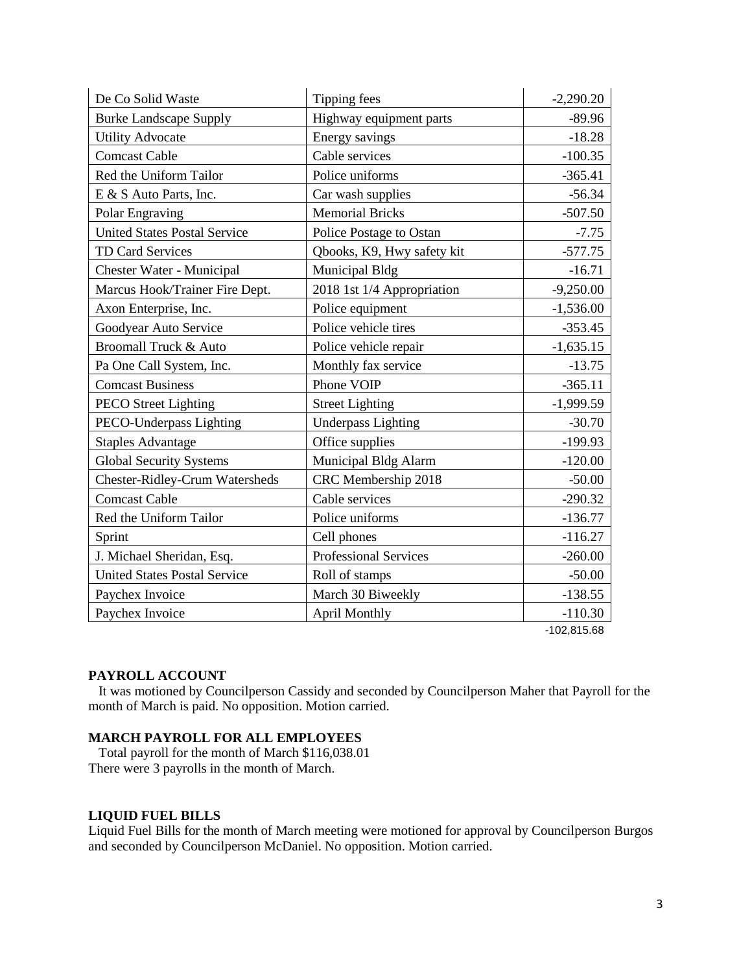| De Co Solid Waste                     | Tipping fees               | $-2,290.20$ |
|---------------------------------------|----------------------------|-------------|
| <b>Burke Landscape Supply</b>         | Highway equipment parts    | $-89.96$    |
| <b>Utility Advocate</b>               | Energy savings             | $-18.28$    |
| <b>Comcast Cable</b>                  | Cable services             | $-100.35$   |
| Red the Uniform Tailor                | Police uniforms            | $-365.41$   |
| E & S Auto Parts, Inc.                | Car wash supplies          | $-56.34$    |
| Polar Engraving                       | <b>Memorial Bricks</b>     | $-507.50$   |
| <b>United States Postal Service</b>   | Police Postage to Ostan    | $-7.75$     |
| TD Card Services                      | Qbooks, K9, Hwy safety kit | $-577.75$   |
| Chester Water - Municipal             | Municipal Bldg             | $-16.71$    |
| Marcus Hook/Trainer Fire Dept.        | 2018 1st 1/4 Appropriation | $-9,250.00$ |
| Axon Enterprise, Inc.                 | Police equipment           | $-1,536.00$ |
| Goodyear Auto Service                 | Police vehicle tires       | $-353.45$   |
| <b>Broomall Truck &amp; Auto</b>      | Police vehicle repair      | $-1,635.15$ |
| Pa One Call System, Inc.              | Monthly fax service        | $-13.75$    |
| <b>Comcast Business</b>               | Phone VOIP                 | $-365.11$   |
| <b>PECO</b> Street Lighting           | <b>Street Lighting</b>     | $-1,999.59$ |
| PECO-Underpass Lighting               | <b>Underpass Lighting</b>  | $-30.70$    |
| <b>Staples Advantage</b>              | Office supplies            | $-199.93$   |
| <b>Global Security Systems</b>        | Municipal Bldg Alarm       | $-120.00$   |
| <b>Chester-Ridley-Crum Watersheds</b> | CRC Membership 2018        | $-50.00$    |
| <b>Comcast Cable</b>                  | Cable services             | $-290.32$   |
| Red the Uniform Tailor                | Police uniforms            | $-136.77$   |
| Sprint                                | Cell phones                | $-116.27$   |
| J. Michael Sheridan, Esq.             | Professional Services      | $-260.00$   |
| <b>United States Postal Service</b>   | Roll of stamps             | $-50.00$    |
| Paychex Invoice                       | March 30 Biweekly          | $-138.55$   |
| Paychex Invoice                       | <b>April Monthly</b>       | $-110.30$   |

-102,815.68

#### **PAYROLL ACCOUNT**

 It was motioned by Councilperson Cassidy and seconded by Councilperson Maher that Payroll for the month of March is paid. No opposition. Motion carried.

### **MARCH PAYROLL FOR ALL EMPLOYEES**

 Total payroll for the month of March \$116,038.01 There were 3 payrolls in the month of March.

### **LIQUID FUEL BILLS**

Liquid Fuel Bills for the month of March meeting were motioned for approval by Councilperson Burgos and seconded by Councilperson McDaniel. No opposition. Motion carried.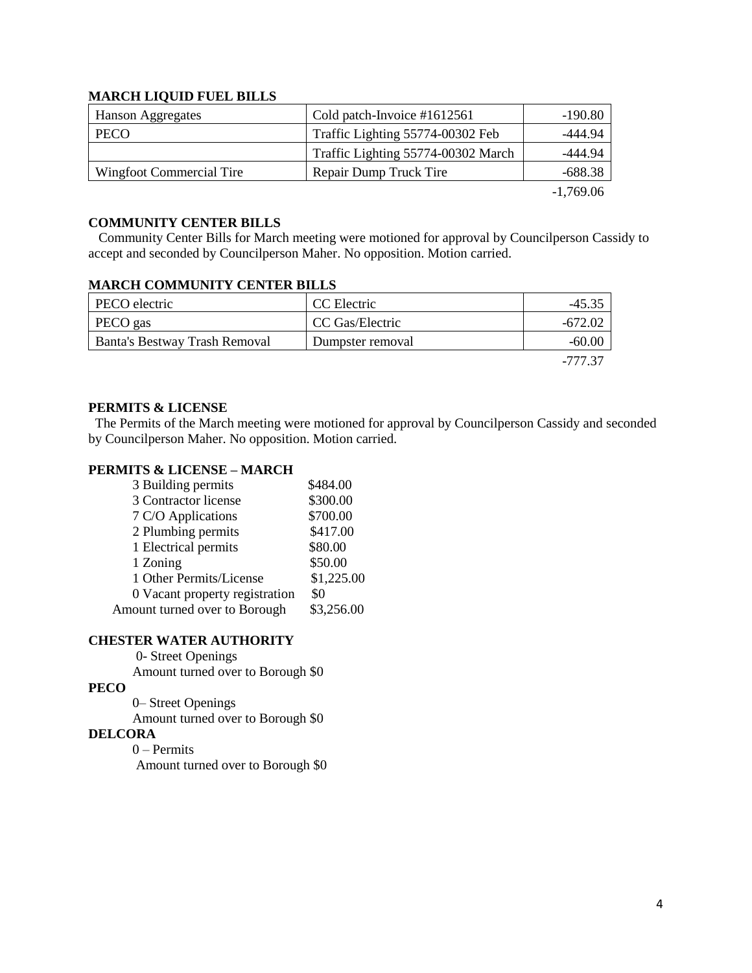### **MARCH LIQUID FUEL BILLS**

| Hanson Aggregates        | Cold patch-Invoice #1612561        | -190.80                     |
|--------------------------|------------------------------------|-----------------------------|
| <b>PECO</b>              | Traffic Lighting 55774-00302 Feb   | -444.94                     |
|                          | Traffic Lighting 55774-00302 March | -444.94                     |
| Wingfoot Commercial Tire | Repair Dump Truck Tire             | -688.38                     |
|                          |                                    | $\sim$ $\sim$ $\sim$ $\sim$ |

-1,769.06

## **COMMUNITY CENTER BILLS**

 Community Center Bills for March meeting were motioned for approval by Councilperson Cassidy to accept and seconded by Councilperson Maher. No opposition. Motion carried.

### **MARCH COMMUNITY CENTER BILLS**

| PECO electric                 | CC Electric      | $-45.35$ |
|-------------------------------|------------------|----------|
| PECO gas                      | CC Gas/Electric  | -672.02  |
| Banta's Bestway Trash Removal | Dumpster removal | $-60.00$ |
|                               |                  | -777 37  |

### **PERMITS & LICENSE**

The Permits of the March meeting were motioned for approval by Councilperson Cassidy and seconded by Councilperson Maher. No opposition. Motion carried.

## **PERMITS & LICENSE – MARCH**

| 3 Building permits             | \$484.00   |
|--------------------------------|------------|
| 3 Contractor license           | \$300.00   |
| 7 C/O Applications             | \$700.00   |
| 2 Plumbing permits             | \$417.00   |
| 1 Electrical permits           | \$80.00    |
| 1 Zoning                       | \$50.00    |
| 1 Other Permits/License        | \$1,225.00 |
| 0 Vacant property registration | \$0        |
| Amount turned over to Borough  | \$3,256.00 |

#### **CHESTER WATER AUTHORITY**

0- Street Openings

Amount turned over to Borough \$0

# **PECO**

 0– Street Openings Amount turned over to Borough \$0

### **DELCORA**

0 – Permits Amount turned over to Borough \$0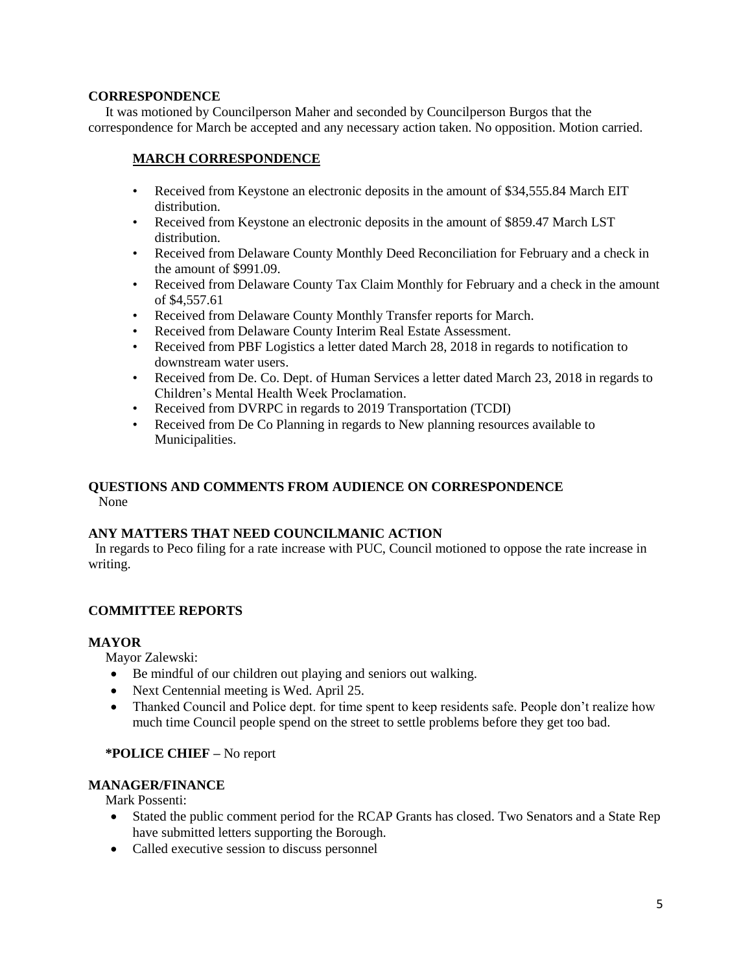### **CORRESPONDENCE**

 It was motioned by Councilperson Maher and seconded by Councilperson Burgos that the correspondence for March be accepted and any necessary action taken. No opposition. Motion carried.

## **MARCH CORRESPONDENCE**

- Received from Keystone an electronic deposits in the amount of \$34,555.84 March EIT distribution.
- Received from Keystone an electronic deposits in the amount of \$859.47 March LST distribution.
- Received from Delaware County Monthly Deed Reconciliation for February and a check in the amount of \$991.09.
- Received from Delaware County Tax Claim Monthly for February and a check in the amount of \$4,557.61
- Received from Delaware County Monthly Transfer reports for March.
- Received from Delaware County Interim Real Estate Assessment.
- Received from PBF Logistics a letter dated March 28, 2018 in regards to notification to downstream water users.
- Received from De. Co. Dept. of Human Services a letter dated March 23, 2018 in regards to Children's Mental Health Week Proclamation.
- Received from DVRPC in regards to 2019 Transportation (TCDI)
- Received from De Co Planning in regards to New planning resources available to Municipalities.

### **QUESTIONS AND COMMENTS FROM AUDIENCE ON CORRESPONDENCE** None

## **ANY MATTERS THAT NEED COUNCILMANIC ACTION**

 In regards to Peco filing for a rate increase with PUC, Council motioned to oppose the rate increase in writing.

## **COMMITTEE REPORTS**

## **MAYOR**

Mayor Zalewski:

- Be mindful of our children out playing and seniors out walking.
- Next Centennial meeting is Wed. April 25.
- Thanked Council and Police dept. for time spent to keep residents safe. People don't realize how much time Council people spend on the street to settle problems before they get too bad.

## **\*POLICE CHIEF –** No report

## **MANAGER/FINANCE**

Mark Possenti:

- Stated the public comment period for the RCAP Grants has closed. Two Senators and a State Rep have submitted letters supporting the Borough.
- Called executive session to discuss personnel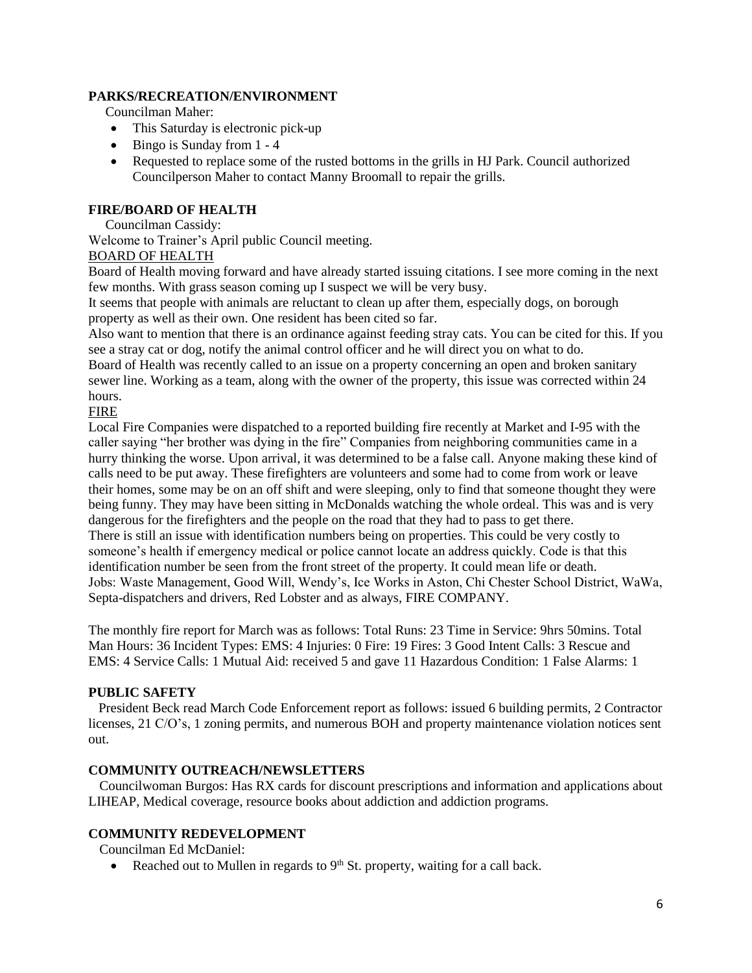### **PARKS/RECREATION/ENVIRONMENT**

Councilman Maher:

- This Saturday is electronic pick-up
- $\bullet$  Bingo is Sunday from 1 4
- Requested to replace some of the rusted bottoms in the grills in HJ Park. Council authorized Councilperson Maher to contact Manny Broomall to repair the grills.

## **FIRE/BOARD OF HEALTH**

Councilman Cassidy:

Welcome to Trainer's April public Council meeting.

## BOARD OF HEALTH

Board of Health moving forward and have already started issuing citations. I see more coming in the next few months. With grass season coming up I suspect we will be very busy.

It seems that people with animals are reluctant to clean up after them, especially dogs, on borough property as well as their own. One resident has been cited so far.

Also want to mention that there is an ordinance against feeding stray cats. You can be cited for this. If you see a stray cat or dog, notify the animal control officer and he will direct you on what to do.

Board of Health was recently called to an issue on a property concerning an open and broken sanitary sewer line. Working as a team, along with the owner of the property, this issue was corrected within 24 hours.

### FIRE

Local Fire Companies were dispatched to a reported building fire recently at Market and I-95 with the caller saying "her brother was dying in the fire" Companies from neighboring communities came in a hurry thinking the worse. Upon arrival, it was determined to be a false call. Anyone making these kind of calls need to be put away. These firefighters are volunteers and some had to come from work or leave their homes, some may be on an off shift and were sleeping, only to find that someone thought they were being funny. They may have been sitting in McDonalds watching the whole ordeal. This was and is very dangerous for the firefighters and the people on the road that they had to pass to get there. There is still an issue with identification numbers being on properties. This could be very costly to someone's health if emergency medical or police cannot locate an address quickly. Code is that this identification number be seen from the front street of the property. It could mean life or death. Jobs: Waste Management, Good Will, Wendy's, Ice Works in Aston, Chi Chester School District, WaWa, Septa-dispatchers and drivers, Red Lobster and as always, FIRE COMPANY.

The monthly fire report for March was as follows: Total Runs: 23 Time in Service: 9hrs 50mins. Total Man Hours: 36 Incident Types: EMS: 4 Injuries: 0 Fire: 19 Fires: 3 Good Intent Calls: 3 Rescue and EMS: 4 Service Calls: 1 Mutual Aid: received 5 and gave 11 Hazardous Condition: 1 False Alarms: 1

### **PUBLIC SAFETY**

 President Beck read March Code Enforcement report as follows: issued 6 building permits, 2 Contractor licenses, 21 C/O's, 1 zoning permits, and numerous BOH and property maintenance violation notices sent out.

### **COMMUNITY OUTREACH/NEWSLETTERS**

 Councilwoman Burgos: Has RX cards for discount prescriptions and information and applications about LIHEAP, Medical coverage, resource books about addiction and addiction programs.

### **COMMUNITY REDEVELOPMENT**

Councilman Ed McDaniel:

Reached out to Mullen in regards to  $9<sup>th</sup>$  St. property, waiting for a call back.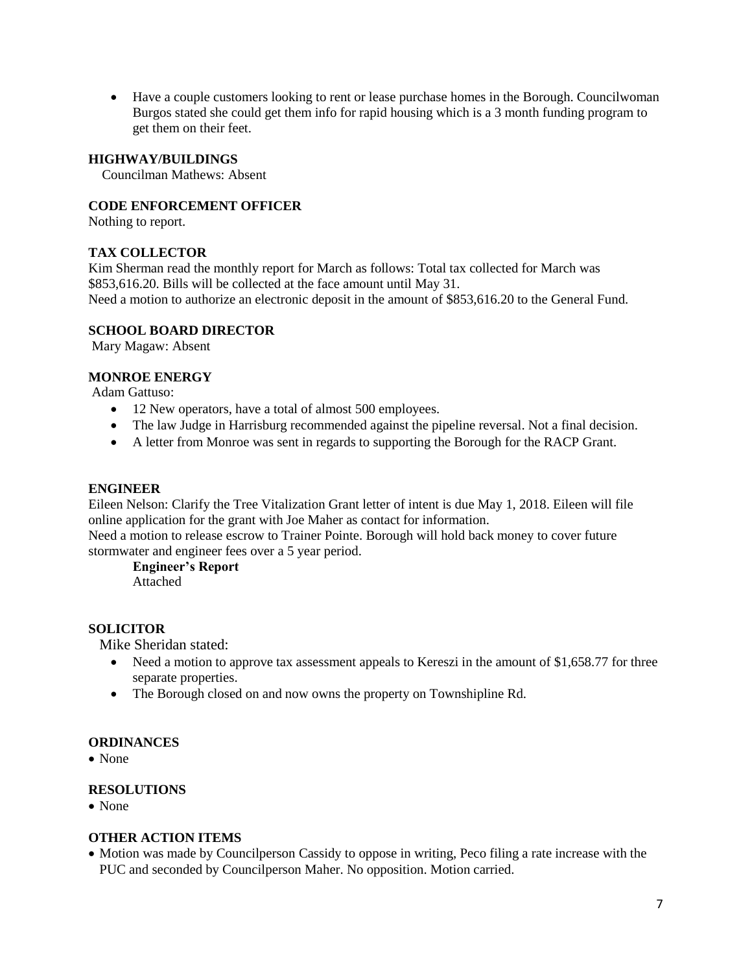Have a couple customers looking to rent or lease purchase homes in the Borough. Councilwoman Burgos stated she could get them info for rapid housing which is a 3 month funding program to get them on their feet.

### **HIGHWAY/BUILDINGS**

Councilman Mathews: Absent

### **CODE ENFORCEMENT OFFICER**

Nothing to report.

### **TAX COLLECTOR**

Kim Sherman read the monthly report for March as follows: Total tax collected for March was \$853,616.20. Bills will be collected at the face amount until May 31. Need a motion to authorize an electronic deposit in the amount of \$853,616.20 to the General Fund.

### **SCHOOL BOARD DIRECTOR**

Mary Magaw: Absent

### **MONROE ENERGY**

Adam Gattuso:

- 12 New operators, have a total of almost 500 employees.
- The law Judge in Harrisburg recommended against the pipeline reversal. Not a final decision.
- A letter from Monroe was sent in regards to supporting the Borough for the RACP Grant.

#### **ENGINEER**

Eileen Nelson: Clarify the Tree Vitalization Grant letter of intent is due May 1, 2018. Eileen will file online application for the grant with Joe Maher as contact for information.

Need a motion to release escrow to Trainer Pointe. Borough will hold back money to cover future stormwater and engineer fees over a 5 year period.

#### **Engineer's Report** Attached

## **SOLICITOR**

Mike Sheridan stated:

- Need a motion to approve tax assessment appeals to Kereszi in the amount of \$1,658.77 for three separate properties.
- The Borough closed on and now owns the property on Townshipline Rd.

#### **ORDINANCES**

• None

#### **RESOLUTIONS**

• None

#### **OTHER ACTION ITEMS**

 Motion was made by Councilperson Cassidy to oppose in writing, Peco filing a rate increase with the PUC and seconded by Councilperson Maher. No opposition. Motion carried.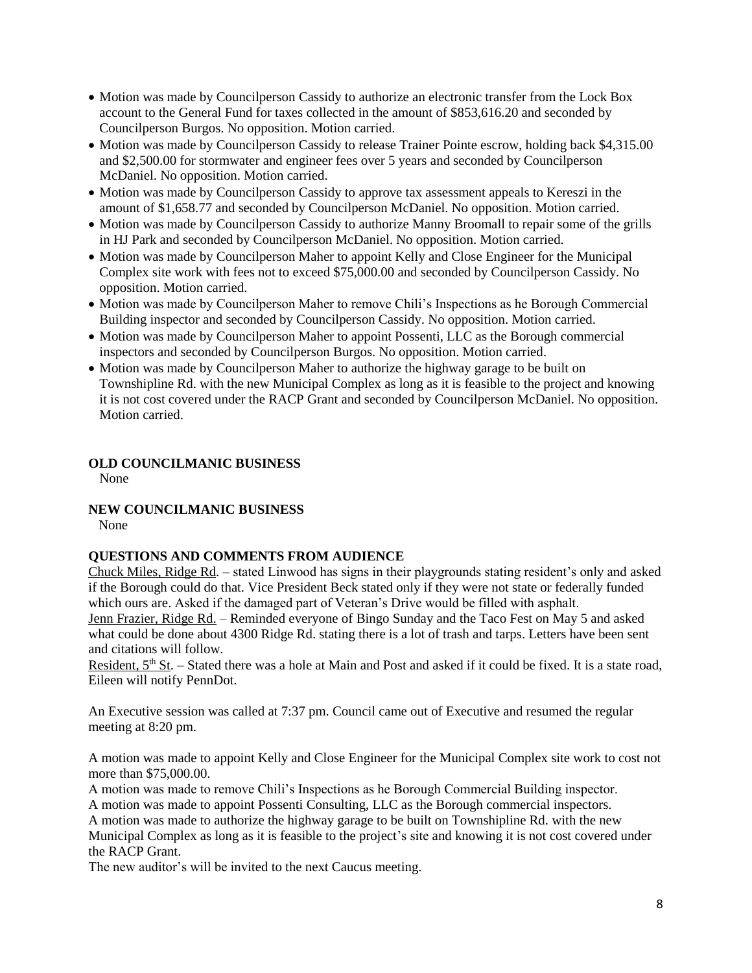- Motion was made by Councilperson Cassidy to authorize an electronic transfer from the Lock Box account to the General Fund for taxes collected in the amount of \$853,616.20 and seconded by Councilperson Burgos. No opposition. Motion carried.
- Motion was made by Councilperson Cassidy to release Trainer Pointe escrow, holding back \$4,315.00 and \$2,500.00 for stormwater and engineer fees over 5 years and seconded by Councilperson McDaniel. No opposition. Motion carried.
- $\bullet$  Motion was made by Councilperson Cassidy to approve tax assessment appeals to Kereszi in the amount of \$1,658.77 and seconded by Councilperson McDaniel. No opposition. Motion carried.
- Motion was made by Councilperson Cassidy to authorize Manny Broomall to repair some of the grills in HJ Park and seconded by Councilperson McDaniel. No opposition. Motion carried.
- Motion was made by Councilperson Maher to appoint Kelly and Close Engineer for the Municipal Complex site work with fees not to exceed \$75,000.00 and seconded by Councilperson Cassidy. No opposition. Motion carried.
- Motion was made by Councilperson Maher to remove Chili's Inspections as he Borough Commercial Building inspector and seconded by Councilperson Cassidy. No opposition. Motion carried.
- Motion was made by Councilperson Maher to appoint Possenti, LLC as the Borough commercial inspectors and seconded by Councilperson Burgos. No opposition. Motion carried.
- Motion was made by Councilperson Maher to authorize the highway garage to be built on Townshipline Rd. with the new Municipal Complex as long as it is feasible to the project and knowing it is not cost covered under the RACP Grant and seconded by Councilperson McDaniel. No opposition. Motion carried.

## **OLD COUNCILMANIC BUSINESS**

None

## **NEW COUNCILMANIC BUSINESS**

None

## **QUESTIONS AND COMMENTS FROM AUDIENCE**

Chuck Miles, Ridge Rd. – stated Linwood has signs in their playgrounds stating resident's only and asked if the Borough could do that. Vice President Beck stated only if they were not state or federally funded which ours are. Asked if the damaged part of Veteran's Drive would be filled with asphalt.

Jenn Frazier, Ridge Rd. – Reminded everyone of Bingo Sunday and the Taco Fest on May 5 and asked what could be done about 4300 Ridge Rd. stating there is a lot of trash and tarps. Letters have been sent and citations will follow.

Resident,  $5<sup>th</sup>$  St. – Stated there was a hole at Main and Post and asked if it could be fixed. It is a state road, Eileen will notify PennDot.

An Executive session was called at 7:37 pm. Council came out of Executive and resumed the regular meeting at 8:20 pm.

A motion was made to appoint Kelly and Close Engineer for the Municipal Complex site work to cost not more than \$75,000.00.

A motion was made to remove Chili's Inspections as he Borough Commercial Building inspector. A motion was made to appoint Possenti Consulting, LLC as the Borough commercial inspectors.

A motion was made to authorize the highway garage to be built on Townshipline Rd. with the new

Municipal Complex as long as it is feasible to the project's site and knowing it is not cost covered under the RACP Grant.

The new auditor's will be invited to the next Caucus meeting.